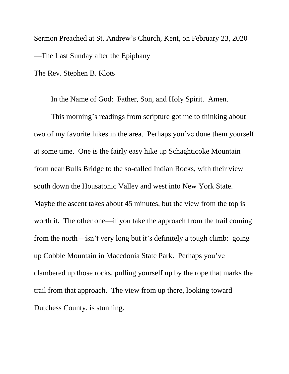Sermon Preached at St. Andrew's Church, Kent, on February 23, 2020 —The Last Sunday after the Epiphany

The Rev. Stephen B. Klots

In the Name of God: Father, Son, and Holy Spirit. Amen.

This morning's readings from scripture got me to thinking about two of my favorite hikes in the area. Perhaps you've done them yourself at some time. One is the fairly easy hike up Schaghticoke Mountain from near Bulls Bridge to the so-called Indian Rocks, with their view south down the Housatonic Valley and west into New York State. Maybe the ascent takes about 45 minutes, but the view from the top is worth it. The other one—if you take the approach from the trail coming from the north—isn't very long but it's definitely a tough climb: going up Cobble Mountain in Macedonia State Park. Perhaps you've clambered up those rocks, pulling yourself up by the rope that marks the trail from that approach. The view from up there, looking toward Dutchess County, is stunning.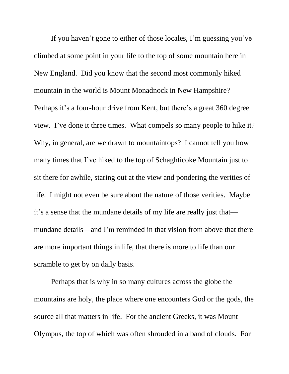If you haven't gone to either of those locales, I'm guessing you've climbed at some point in your life to the top of some mountain here in New England. Did you know that the second most commonly hiked mountain in the world is Mount Monadnock in New Hampshire? Perhaps it's a four-hour drive from Kent, but there's a great 360 degree view. I've done it three times. What compels so many people to hike it? Why, in general, are we drawn to mountaintops? I cannot tell you how many times that I've hiked to the top of Schaghticoke Mountain just to sit there for awhile, staring out at the view and pondering the verities of life. I might not even be sure about the nature of those verities. Maybe it's a sense that the mundane details of my life are really just that mundane details—and I'm reminded in that vision from above that there are more important things in life, that there is more to life than our scramble to get by on daily basis.

Perhaps that is why in so many cultures across the globe the mountains are holy, the place where one encounters God or the gods, the source all that matters in life. For the ancient Greeks, it was Mount Olympus, the top of which was often shrouded in a band of clouds. For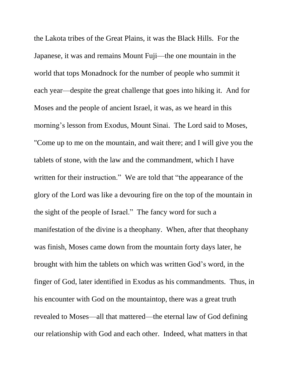the Lakota tribes of the Great Plains, it was the Black Hills. For the Japanese, it was and remains Mount Fuji—the one mountain in the world that tops Monadnock for the number of people who summit it each year—despite the great challenge that goes into hiking it. And for Moses and the people of ancient Israel, it was, as we heard in this morning's lesson from Exodus, Mount Sinai. The Lord said to Moses, "Come up to me on the mountain, and wait there; and I will give you the tablets of stone, with the law and the commandment, which I have written for their instruction." We are told that "the appearance of the glory of the Lord was like a devouring fire on the top of the mountain in the sight of the people of Israel." The fancy word for such a manifestation of the divine is a theophany. When, after that theophany was finish, Moses came down from the mountain forty days later, he brought with him the tablets on which was written God's word, in the finger of God, later identified in Exodus as his commandments. Thus, in his encounter with God on the mountaintop, there was a great truth revealed to Moses—all that mattered—the eternal law of God defining our relationship with God and each other. Indeed, what matters in that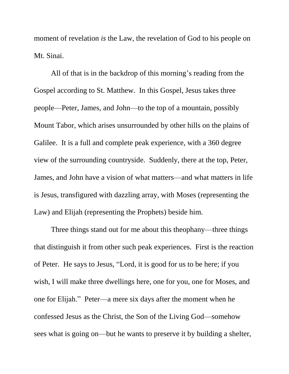moment of revelation *is* the Law, the revelation of God to his people on Mt. Sinai.

All of that is in the backdrop of this morning's reading from the Gospel according to St. Matthew. In this Gospel, Jesus takes three people—Peter, James, and John—to the top of a mountain, possibly Mount Tabor, which arises unsurrounded by other hills on the plains of Galilee. It is a full and complete peak experience, with a 360 degree view of the surrounding countryside. Suddenly, there at the top, Peter, James, and John have a vision of what matters—and what matters in life is Jesus, transfigured with dazzling array, with Moses (representing the Law) and Elijah (representing the Prophets) beside him.

Three things stand out for me about this theophany—three things that distinguish it from other such peak experiences. First is the reaction of Peter. He says to Jesus, "Lord, it is good for us to be here; if you wish, I will make three dwellings here, one for you, one for Moses, and one for Elijah." Peter—a mere six days after the moment when he confessed Jesus as the Christ, the Son of the Living God—somehow sees what is going on—but he wants to preserve it by building a shelter,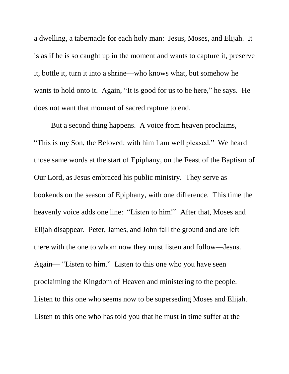a dwelling, a tabernacle for each holy man: Jesus, Moses, and Elijah. It is as if he is so caught up in the moment and wants to capture it, preserve it, bottle it, turn it into a shrine—who knows what, but somehow he wants to hold onto it. Again, "It is good for us to be here," he says. He does not want that moment of sacred rapture to end.

But a second thing happens. A voice from heaven proclaims, "This is my Son, the Beloved; with him I am well pleased." We heard those same words at the start of Epiphany, on the Feast of the Baptism of Our Lord, as Jesus embraced his public ministry. They serve as bookends on the season of Epiphany, with one difference. This time the heavenly voice adds one line: "Listen to him!" After that, Moses and Elijah disappear. Peter, James, and John fall the ground and are left there with the one to whom now they must listen and follow—Jesus. Again— "Listen to him." Listen to this one who you have seen proclaiming the Kingdom of Heaven and ministering to the people. Listen to this one who seems now to be superseding Moses and Elijah. Listen to this one who has told you that he must in time suffer at the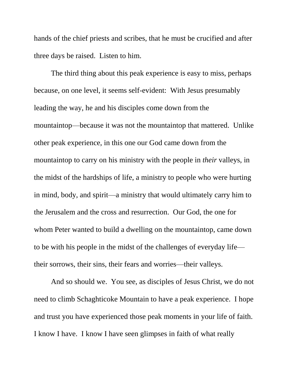hands of the chief priests and scribes, that he must be crucified and after three days be raised. Listen to him.

The third thing about this peak experience is easy to miss, perhaps because, on one level, it seems self-evident: With Jesus presumably leading the way, he and his disciples come down from the mountaintop—because it was not the mountaintop that mattered. Unlike other peak experience, in this one our God came down from the mountaintop to carry on his ministry with the people in *their* valleys, in the midst of the hardships of life, a ministry to people who were hurting in mind, body, and spirit—a ministry that would ultimately carry him to the Jerusalem and the cross and resurrection. Our God, the one for whom Peter wanted to build a dwelling on the mountaintop, came down to be with his people in the midst of the challenges of everyday life their sorrows, their sins, their fears and worries—their valleys.

And so should we. You see, as disciples of Jesus Christ, we do not need to climb Schaghticoke Mountain to have a peak experience. I hope and trust you have experienced those peak moments in your life of faith. I know I have. I know I have seen glimpses in faith of what really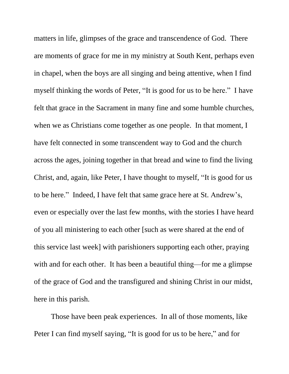matters in life, glimpses of the grace and transcendence of God. There are moments of grace for me in my ministry at South Kent, perhaps even in chapel, when the boys are all singing and being attentive, when I find myself thinking the words of Peter, "It is good for us to be here." I have felt that grace in the Sacrament in many fine and some humble churches, when we as Christians come together as one people. In that moment, I have felt connected in some transcendent way to God and the church across the ages, joining together in that bread and wine to find the living Christ, and, again, like Peter, I have thought to myself, "It is good for us to be here." Indeed, I have felt that same grace here at St. Andrew's, even or especially over the last few months, with the stories I have heard of you all ministering to each other [such as were shared at the end of this service last week] with parishioners supporting each other, praying with and for each other. It has been a beautiful thing—for me a glimpse of the grace of God and the transfigured and shining Christ in our midst, here in this parish.

Those have been peak experiences. In all of those moments, like Peter I can find myself saying, "It is good for us to be here," and for